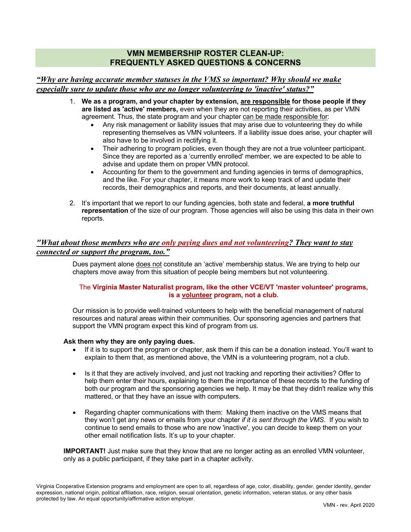# **VMN MEMBERSHIP ROSTER CLEAN-UP: FREQUENTLY ASKED QUESTIONS & CONCERNS**

## *"Why are having accurate member statuses in the VMS so important? Why should we make especially sure to update those who are no longer volunteering to 'inactive' status?"*

- 1. **We as a program, and your chapter by extension, are responsible for those people if they are listed as 'active' members,** even when they are not reporting their activities, as per VMN agreement. Thus, the state program and your chapter can be made responsible for:
	- Any risk management or liability issues that may arise due to volunteering they do while representing themselves as VMN volunteers. If a liability issue does arise, your chapter will also have to be involved in rectifying it.
	- Their adhering to program policies, even though they are not a true volunteer participant. Since they are reported as a 'currently enrolled' member, we are expected to be able to advise and update them on proper VMN protocol.
	- Accounting for them to the government and funding agencies in terms of demographics, and the like. For your chapter, it means more work to keep track of and update their records, their demographics and reports, and their documents, at least annually.
- 2. It's important that we report to our funding agencies, both state and federal, **a more truthful representation** of the size of our program. Those agencies will also be using this data in their own reports.

# *"What about those members who are only paying dues and not volunteering? They want to stay connected or support the program, too."*

Dues payment alone does not constitute an 'active' membership status. We are trying to help our chapters move away from this situation of people being members but not volunteering.

#### The **Virginia Master Naturalist program, like the other VCE/VT 'master volunteer' programs, is a volunteer program, not a club.**

Our mission is to provide well-trained volunteers to help with the beneficial management of natural resources and natural areas within their communities. Our sponsoring agencies and partners that support the VMN program expect this kind of program from us.

#### **Ask them why they are only paying dues.**

- If it is to support the program or chapter, ask them if this can be a donation instead. You'll want to explain to them that, as mentioned above, the VMN is a volunteering program, not a club.
- Is it that they are actively involved, and just not tracking and reporting their activities? Offer to help them enter their hours, explaining to them the importance of these records to the funding of both our program and the sponsoring agencies we help. It may be that they didn't realize why this mattered, or that they have an issue with computers.
- Regarding chapter communications with them: Making them inactive on the VMS means that they won't get any news or emails from your chapter *if it is sent through the VMS.* If you wish to continue to send emails to those who are now 'inactive', you can decide to keep them on your other email notification lists. It's up to your chapter.

**IMPORTANT!** Just make sure that they know that are no longer acting as an enrolled VMN volunteer, only as a public participant, if they take part in a chapter activity.